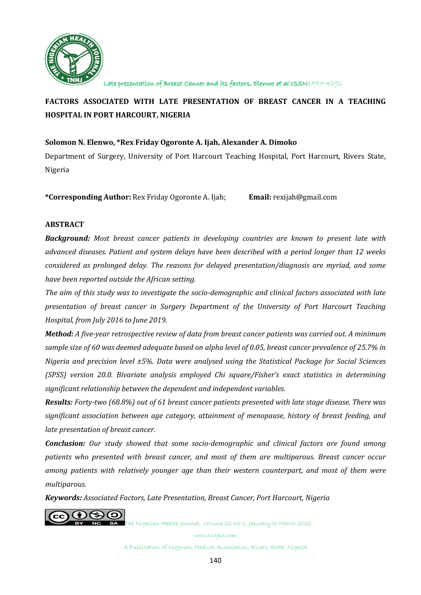

# **FACTORS ASSOCIATED WITH LATE PRESENTATION OF BREAST CANCER IN A TEACHING HOSPITAL IN PORT HARCOURT, NIGERIA**

# **Solomon N. Elenwo, \*Rex Friday Ogoronte A. Ijah, Alexander A. Dimoko**

Department of Surgery, University of Port Harcourt Teaching Hospital, Port Harcourt, Rivers State, Nigeria

**\*Corresponding Author:** Rex Friday Ogoronte A. Ijah; **Email:** rexijah@gmail.com

# **ABSTRACT**

*Background: Most breast cancer patients in developing countries are known to present late with advanced diseases. Patient and system delays have been described with a period longer than 12 weeks considered as prolonged delay. The reasons for delayed presentation/diagnosis are myriad, and some have been reported outside the African setting.* 

*The aim of this study was to investigate the socio-demographic and clinical factors associated with late presentation of breast cancer in Surgery Department of the University of Port Harcourt Teaching Hospital, from July 2016 to June 2019.*

*Method: A five-year retrospective review of data from breast cancer patients was carried out. A minimum sample size of 60 was deemed adequate based on alpha level of 0.05, breast cancer prevalence of 25.7% in Nigeria and precision level ±5%. Data were analysed using the Statistical Package for Social Sciences (SPSS) version 20.0. Bivariate analysis employed Chi square/Fisher's exact statistics in determining significant relationship between the dependent and independent variables.*

*Results: Forty-two (68.8%) out of 61 breast cancer patients presented with late stage disease. There was significant association between age category, attainment of menopause, history of breast feeding, and late presentation of breast cancer.* 

*Conclusion: Our study showed that some socio-demographic and clinical factors are found among patients who presented with breast cancer, and most of them are multiparous. Breast cancer occur among patients with relatively younger age than their western counterpart, and most of them were multiparous.*

*Keywords: Associated Factors, Late Presentation, Breast Cancer, Port Harcourt, Nigeria*



The Nigerian Health Journal, Volume 22 No 1, January to March 2022 www.tnhjph.com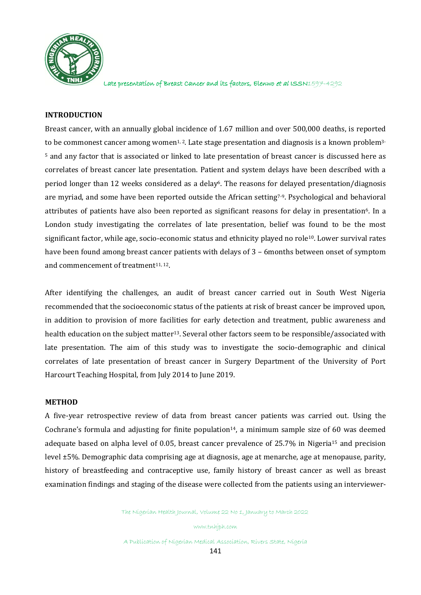

### **INTRODUCTION**

Breast cancer, with an annually global incidence of 1.67 million and over 500,000 deaths, is reported to be commonest cancer among women<sup>1, 2</sup>. Late stage presentation and diagnosis is a known problem<sup>3</sup>-<sup>5</sup> and any factor that is associated or linked to late presentation of breast cancer is discussed here as correlates of breast cancer late presentation. Patient and system delays have been described with a period longer than 12 weeks considered as a delay6. The reasons for delayed presentation/diagnosis are myriad, and some have been reported outside the African setting7-9. Psychological and behavioral attributes of patients have also been reported as significant reasons for delay in presentation<sup>6</sup>. In a London study investigating the correlates of late presentation, belief was found to be the most significant factor, while age, socio-economic status and ethnicity played no role<sup>10</sup>. Lower survival rates have been found among breast cancer patients with delays of 3 – 6months between onset of symptom and commencement of treatment<sup>11, 12</sup>.

After identifying the challenges, an audit of breast cancer carried out in South West Nigeria recommended that the socioeconomic status of the patients at risk of breast cancer be improved upon, in addition to provision of more facilities for early detection and treatment, public awareness and health education on the subject matter<sup>13</sup>. Several other factors seem to be responsible/associated with late presentation. The aim of this study was to investigate the socio-demographic and clinical correlates of late presentation of breast cancer in Surgery Department of the University of Port Harcourt Teaching Hospital, from July 2014 to June 2019.

#### **METHOD**

A five-year retrospective review of data from breast cancer patients was carried out. Using the Cochrane's formula and adjusting for finite population<sup>14</sup>, a minimum sample size of 60 was deemed adequate based on alpha level of 0.05, breast cancer prevalence of 25.7% in Nigeria<sup>15</sup> and precision level ±5%. Demographic data comprising age at diagnosis, age at menarche, age at menopause, parity, history of breastfeeding and contraceptive use, family history of breast cancer as well as breast examination findings and staging of the disease were collected from the patients using an interviewer-

The Nigerian Health Journal, Volume 22 No 1, January to March 2022

www.tnhjph.com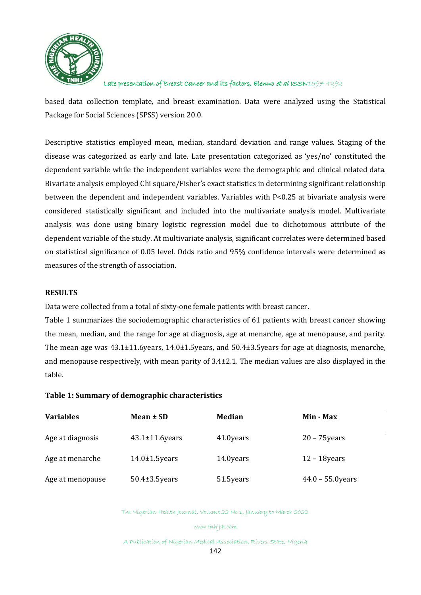

based data collection template, and breast examination. Data were analyzed using the Statistical Package for Social Sciences (SPSS) version 20.0.

Descriptive statistics employed mean, median, standard deviation and range values. Staging of the disease was categorized as early and late. Late presentation categorized as 'yes/no' constituted the dependent variable while the independent variables were the demographic and clinical related data. Bivariate analysis employed Chi square/Fisher's exact statistics in determining significant relationship between the dependent and independent variables. Variables with P<0.25 at bivariate analysis were considered statistically significant and included into the multivariate analysis model. Multivariate analysis was done using binary logistic regression model due to dichotomous attribute of the dependent variable of the study. At multivariate analysis, significant correlates were determined based on statistical significance of 0.05 level. Odds ratio and 95% confidence intervals were determined as measures of the strength of association.

### **RESULTS**

Data were collected from a total of sixty-one female patients with breast cancer.

Table 1 summarizes the sociodemographic characteristics of 61 patients with breast cancer showing the mean, median, and the range for age at diagnosis, age at menarche, age at menopause, and parity. The mean age was 43.1±11.6years, 14.0±1.5years, and 50.4±3.5years for age at diagnosis, menarche, and menopause respectively, with mean parity of 3.4±2.1. The median values are also displayed in the table.

#### **Table 1: Summary of demographic characteristics**

| <b>Variables</b> | Mean ± SD             | Median    | Min - Max           |
|------------------|-----------------------|-----------|---------------------|
| Age at diagnosis | $43.1 \pm 11.6$ years | 41.0years | $20 - 75$ years     |
| Age at menarche  | $14.0 \pm 1.5$ years  | 14.0years | $12 - 18$ years     |
| Age at menopause | $50.4 \pm 3.5$ years  | 51.5years | $44.0 - 55.0$ years |

The Nigerian Health Journal, Volume 22 No 1, January to March 2022

www.tnhjph.com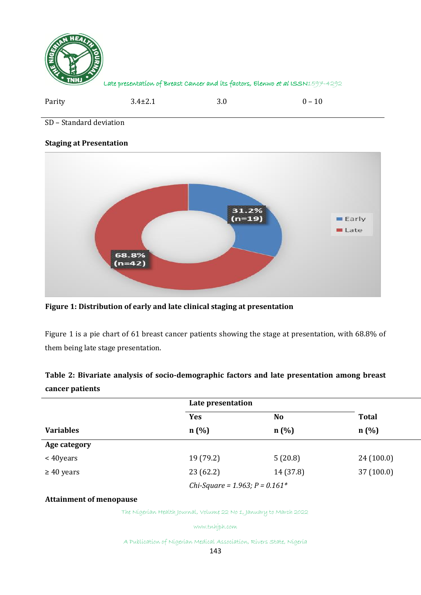

| Parity | $3.4 \pm 2.1$ | $_{\rm 3.0}$ | $0 - 10$ |
|--------|---------------|--------------|----------|
|        |               |              |          |

SD – Standard deviation

### **Staging at Presentation**



**Figure 1: Distribution of early and late clinical staging at presentation**

Figure 1 is a pie chart of 61 breast cancer patients showing the stage at presentation, with 68.8% of them being late stage presentation.

# **Table 2: Bivariate analysis of socio-demographic factors and late presentation among breast cancer patients**

|                  | Late presentation |                                  |              |
|------------------|-------------------|----------------------------------|--------------|
|                  | Yes               | N <sub>0</sub>                   | <b>Total</b> |
| <b>Variables</b> | n(%)              | n(%)                             | n(%)         |
| Age category     |                   |                                  |              |
| $<$ 40 years     | 19 (79.2)         | 5(20.8)                          | 24(100.0)    |
| $\geq 40$ years  | 23(62.2)          | 14 (37.8)                        | 37(100.0)    |
|                  |                   | Chi-Square = 1.963; $P = 0.161*$ |              |

# **Attainment of menopause**

The Nigerian Health Journal, Volume 22 No 1, January to March 2022

www.tnhjph.com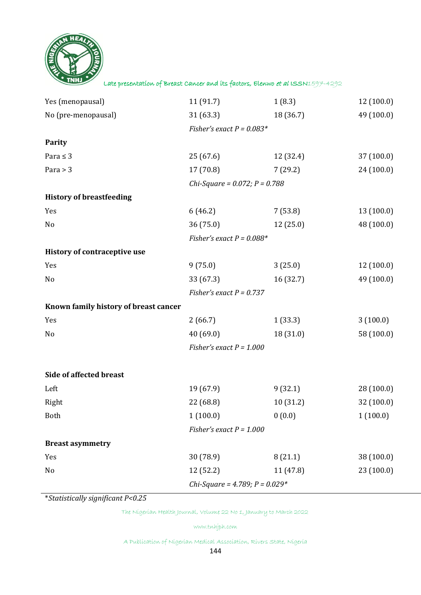

| Yes (menopausal)                      | 11(91.7)                         | 1(8.3)    | 12(100.0)  |
|---------------------------------------|----------------------------------|-----------|------------|
| No (pre-menopausal)                   | 31(63.3)                         | 18 (36.7) | 49 (100.0) |
|                                       | Fisher's exact $P = 0.083*$      |           |            |
| Parity                                |                                  |           |            |
| Para $\leq$ 3                         | 25 (67.6)                        | 12 (32.4) | 37(100.0)  |
| Para $>$ 3                            | 17(70.8)                         | 7(29.2)   | 24 (100.0) |
|                                       | Chi-Square = $0.072$ ; P = 0.788 |           |            |
| <b>History of breastfeeding</b>       |                                  |           |            |
| Yes                                   | 6(46.2)                          | 7(53.8)   | 13(100.0)  |
| No                                    | 36(75.0)                         | 12 (25.0) | 48 (100.0) |
|                                       | Fisher's exact $P = 0.088*$      |           |            |
| History of contraceptive use          |                                  |           |            |
| Yes                                   | 9(75.0)                          | 3(25.0)   | 12(100.0)  |
| No                                    | 33 (67.3)                        | 16 (32.7) | 49 (100.0) |
|                                       | Fisher's exact $P = 0.737$       |           |            |
| Known family history of breast cancer |                                  |           |            |
| Yes                                   | 2(66.7)                          | 1(33.3)   | 3(100.0)   |
| No                                    | 40(69.0)                         | 18(31.0)  | 58 (100.0) |
|                                       | Fisher's exact $P = 1.000$       |           |            |
|                                       |                                  |           |            |
| Side of affected breast               |                                  |           |            |
| Left                                  | 19 (67.9)                        | 9(32.1)   | 28(100.0)  |
| Right                                 | 22 (68.8)                        | 10(31.2)  | 32(100.0)  |
| <b>Both</b>                           | 1(100.0)                         | 0(0.0)    | 1(100.0)   |
|                                       | Fisher's exact $P = 1.000$       |           |            |
| <b>Breast asymmetry</b>               |                                  |           |            |
| Yes                                   | 30 (78.9)                        | 8(21.1)   | 38 (100.0) |
| No                                    | 12 (52.2)                        | 11 (47.8) | 23(100.0)  |
|                                       | Chi-Square = 4.789; $P = 0.029*$ |           |            |

\**Statistically significant P<0.25*

The Nigerian Health Journal, Volume 22 No 1, January to March 2022

www.tnhjph.com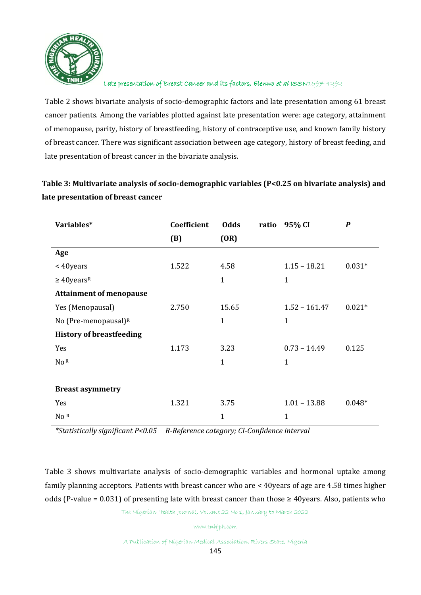

Table 2 shows bivariate analysis of socio-demographic factors and late presentation among 61 breast cancer patients. Among the variables plotted against late presentation were: age category, attainment of menopause, parity, history of breastfeeding, history of contraceptive use, and known family history of breast cancer. There was significant association between age category, history of breast feeding, and late presentation of breast cancer in the bivariate analysis.

# **Table 3: Multivariate analysis of socio-demographic variables (P<0.25 on bivariate analysis) and late presentation of breast cancer**

| Variables*                      | Coefficient | <b>Odds</b><br>ratio | 95% CI          | $\boldsymbol{P}$ |
|---------------------------------|-------------|----------------------|-----------------|------------------|
|                                 | (B)         | (OR)                 |                 |                  |
| Age                             |             |                      |                 |                  |
| <40years                        | 1.522       | 4.58                 | $1.15 - 18.21$  | $0.031*$         |
| $\geq 40$ years <sup>R</sup>    |             | $\mathbf{1}$         | $\mathbf{1}$    |                  |
| <b>Attainment of menopause</b>  |             |                      |                 |                  |
| Yes (Menopausal)                | 2.750       | 15.65                | $1.52 - 161.47$ | $0.021*$         |
| No (Pre-menopausal) $R$         |             | $\mathbf{1}$         | $\mathbf{1}$    |                  |
| <b>History of breastfeeding</b> |             |                      |                 |                  |
| Yes                             | 1.173       | 3.23                 | $0.73 - 14.49$  | 0.125            |
| No <sup>R</sup>                 |             | $\mathbf{1}$         | 1               |                  |
|                                 |             |                      |                 |                  |
| <b>Breast asymmetry</b>         |             |                      |                 |                  |
| Yes                             | 1.321       | 3.75                 | $1.01 - 13.88$  | $0.048*$         |
| No R                            |             | 1                    | $\mathbf{1}$    |                  |

 *\*Statistically significant P<0.05 R-Reference category; CI-Confidence interval* 

Table 3 shows multivariate analysis of socio-demographic variables and hormonal uptake among family planning acceptors. Patients with breast cancer who are < 40years of age are 4.58 times higher odds (P-value = 0.031) of presenting late with breast cancer than those  $\geq$  40 years. Also, patients who

The Nigerian Health Journal, Volume 22 No 1, January to March 2022

www.tnhjph.com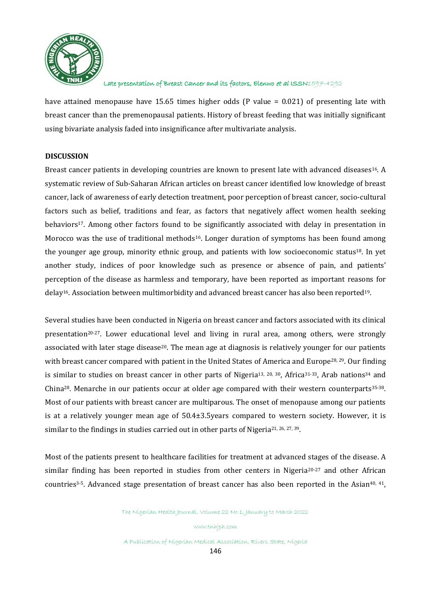

have attained menopause have 15.65 times higher odds (P value = 0.021) of presenting late with breast cancer than the premenopausal patients. History of breast feeding that was initially significant using bivariate analysis faded into insignificance after multivariate analysis.

# **DISCUSSION**

Breast cancer patients in developing countries are known to present late with advanced diseases<sup>16</sup>. A systematic review of Sub-Saharan African articles on breast cancer identified low knowledge of breast cancer, lack of awareness of early detection treatment, poor perception of breast cancer, socio-cultural factors such as belief, traditions and fear, as factors that negatively affect women health seeking behaviors<sup>17</sup>. Among other factors found to be significantly associated with delay in presentation in Morocco was the use of traditional methods<sup>16</sup>. Longer duration of symptoms has been found among the younger age group, minority ethnic group, and patients with low socioeconomic status18. In yet another study, indices of poor knowledge such as presence or absence of pain, and patients' perception of the disease as harmless and temporary, have been reported as important reasons for delay16. Association between multimorbidity and advanced breast cancer has also been reported19.

Several studies have been conducted in Nigeria on breast cancer and factors associated with its clinical presentation20-27. Lower educational level and living in rural area, among others, were strongly associated with later stage disease<sup>20</sup>. The mean age at diagnosis is relatively younger for our patients with breast cancer compared with patient in the United States of America and Europe<sup>28, 29</sup>. Our finding is similar to studies on breast cancer in other parts of Nigeria<sup>13, 20, 30</sup>, Africa<sup>31-33</sup>, Arab nations<sup>34</sup> and China28. Menarche in our patients occur at older age compared with their western counterparts35-38. Most of our patients with breast cancer are multiparous. The onset of menopause among our patients is at a relatively younger mean age of 50.4±3.5years compared to western society. However, it is similar to the findings in studies carried out in other parts of Nigeria<sup>21, 26, 27, 39</sup>.

Most of the patients present to healthcare facilities for treatment at advanced stages of the disease. A similar finding has been reported in studies from other centers in Nigeria<sup>20-27</sup> and other African countries<sup>3-5</sup>. Advanced stage presentation of breast cancer has also been reported in the Asian<sup>40, 41</sup>,

The Nigerian Health Journal, Volume 22 No 1, January to March 2022

www.tnhjph.com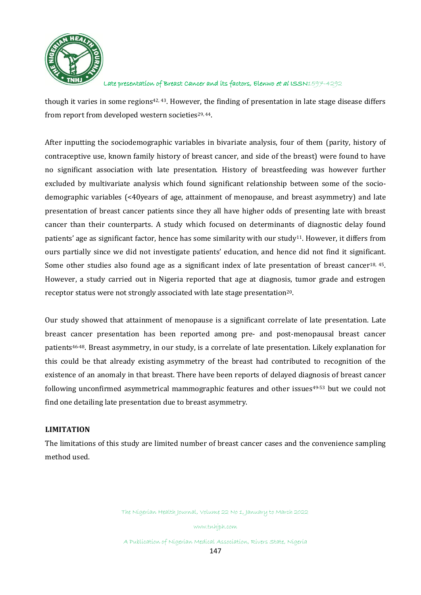

though it varies in some regions<sup>42, 43</sup>. However, the finding of presentation in late stage disease differs from report from developed western societies<sup>29, 44</sup>.

After inputting the sociodemographic variables in bivariate analysis, four of them (parity, history of contraceptive use, known family history of breast cancer, and side of the breast) were found to have no significant association with late presentation. History of breastfeeding was however further excluded by multivariate analysis which found significant relationship between some of the sociodemographic variables (<40years of age, attainment of menopause, and breast asymmetry) and late presentation of breast cancer patients since they all have higher odds of presenting late with breast cancer than their counterparts. A study which focused on determinants of diagnostic delay found patients' age as significant factor, hence has some similarity with our study11. However, it differs from ours partially since we did not investigate patients' education, and hence did not find it significant. Some other studies also found age as a significant index of late presentation of breast cancer<sup>18, 45</sup>. However, a study carried out in Nigeria reported that age at diagnosis, tumor grade and estrogen receptor status were not strongly associated with late stage presentation<sup>20</sup>.

Our study showed that attainment of menopause is a significant correlate of late presentation. Late breast cancer presentation has been reported among pre- and post-menopausal breast cancer patients<sup>46-48</sup>. Breast asymmetry, in our study, is a correlate of late presentation. Likely explanation for this could be that already existing asymmetry of the breast had contributed to recognition of the existence of an anomaly in that breast. There have been reports of delayed diagnosis of breast cancer following unconfirmed asymmetrical mammographic features and other issues<sup>49-53</sup> but we could not find one detailing late presentation due to breast asymmetry.

# **LIMITATION**

The limitations of this study are limited number of breast cancer cases and the convenience sampling method used.

The Nigerian Health Journal, Volume 22 No 1, January to March 2022

www.tnhjph.com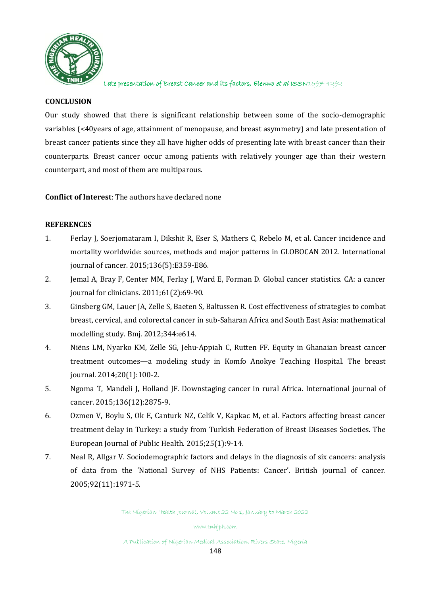

# **CONCLUSION**

Our study showed that there is significant relationship between some of the socio-demographic variables (<40years of age, attainment of menopause, and breast asymmetry) and late presentation of breast cancer patients since they all have higher odds of presenting late with breast cancer than their counterparts. Breast cancer occur among patients with relatively younger age than their western counterpart, and most of them are multiparous.

**Conflict of Interest**: The authors have declared none

# **REFERENCES**

- 1. Ferlay J, Soerjomataram I, Dikshit R, Eser S, Mathers C, Rebelo M, et al. Cancer incidence and mortality worldwide: sources, methods and major patterns in GLOBOCAN 2012. International journal of cancer. 2015;136(5):E359-E86.
- 2. Jemal A, Bray F, Center MM, Ferlay J, Ward E, Forman D. Global cancer statistics. CA: a cancer journal for clinicians. 2011;61(2):69-90.
- 3. Ginsberg GM, Lauer JA, Zelle S, Baeten S, Baltussen R. Cost effectiveness of strategies to combat breast, cervical, and colorectal cancer in sub-Saharan Africa and South East Asia: mathematical modelling study. Bmj. 2012;344:e614.
- 4. Niëns LM, Nyarko KM, Zelle SG, Jehu‐Appiah C, Rutten FF. Equity in Ghanaian breast cancer treatment outcomes—a modeling study in Komfo Anokye Teaching Hospital. The breast journal. 2014;20(1):100-2.
- 5. Ngoma T, Mandeli J, Holland JF. Downstaging cancer in rural Africa. International journal of cancer. 2015;136(12):2875-9.
- 6. Ozmen V, Boylu S, Ok E, Canturk NZ, Celik V, Kapkac M, et al. Factors affecting breast cancer treatment delay in Turkey: a study from Turkish Federation of Breast Diseases Societies. The European Journal of Public Health. 2015;25(1):9-14.
- 7. Neal R, Allgar V. Sociodemographic factors and delays in the diagnosis of six cancers: analysis of data from the 'National Survey of NHS Patients: Cancer'. British journal of cancer. 2005;92(11):1971-5.

The Nigerian Health Journal, Volume 22 No 1, January to March 2022

www.tnhjph.com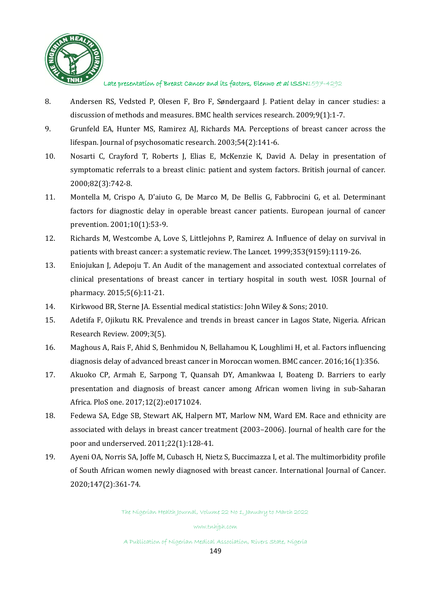

- 8. Andersen RS, Vedsted P, Olesen F, Bro F, Søndergaard J. Patient delay in cancer studies: a discussion of methods and measures. BMC health services research. 2009;9(1):1-7.
- 9. Grunfeld EA, Hunter MS, Ramirez AJ, Richards MA. Perceptions of breast cancer across the lifespan. Journal of psychosomatic research. 2003;54(2):141-6.
- 10. Nosarti C, Crayford T, Roberts J, Elias E, McKenzie K, David A. Delay in presentation of symptomatic referrals to a breast clinic: patient and system factors. British journal of cancer. 2000;82(3):742-8.
- 11. Montella M, Crispo A, D'aiuto G, De Marco M, De Bellis G, Fabbrocini G, et al. Determinant factors for diagnostic delay in operable breast cancer patients. European journal of cancer prevention. 2001;10(1):53-9.
- 12. Richards M, Westcombe A, Love S, Littlejohns P, Ramirez A. Influence of delay on survival in patients with breast cancer: a systematic review. The Lancet. 1999;353(9159):1119-26.
- 13. Eniojukan J, Adepoju T. An Audit of the management and associated contextual correlates of clinical presentations of breast cancer in tertiary hospital in south west. IOSR Journal of pharmacy. 2015;5(6):11-21.
- 14. Kirkwood BR, Sterne JA. Essential medical statistics: John Wiley & Sons; 2010.
- 15. Adetifa F, Ojikutu RK. Prevalence and trends in breast cancer in Lagos State, Nigeria. African Research Review. 2009;3(5).
- 16. Maghous A, Rais F, Ahid S, Benhmidou N, Bellahamou K, Loughlimi H, et al. Factors influencing diagnosis delay of advanced breast cancer in Moroccan women. BMC cancer. 2016;16(1):356.
- 17. Akuoko CP, Armah E, Sarpong T, Quansah DY, Amankwaa I, Boateng D. Barriers to early presentation and diagnosis of breast cancer among African women living in sub-Saharan Africa. PloS one. 2017;12(2):e0171024.
- 18. Fedewa SA, Edge SB, Stewart AK, Halpern MT, Marlow NM, Ward EM. Race and ethnicity are associated with delays in breast cancer treatment (2003–2006). Journal of health care for the poor and underserved. 2011;22(1):128-41.
- 19. Ayeni OA, Norris SA, Joffe M, Cubasch H, Nietz S, Buccimazza I, et al. The multimorbidity profile of South African women newly diagnosed with breast cancer. International Journal of Cancer. 2020;147(2):361-74.

The Nigerian Health Journal, Volume 22 No 1, January to March 2022

www.tnhjph.com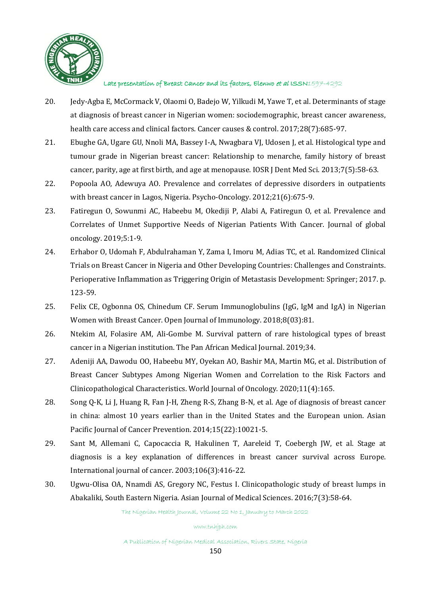

- 20. Jedy-Agba E, McCormack V, Olaomi O, Badejo W, Yilkudi M, Yawe T, et al. Determinants of stage at diagnosis of breast cancer in Nigerian women: sociodemographic, breast cancer awareness, health care access and clinical factors. Cancer causes & control. 2017;28(7):685-97.
- 21. Ebughe GA, Ugare GU, Nnoli MA, Bassey I-A, Nwagbara VJ, Udosen J, et al. Histological type and tumour grade in Nigerian breast cancer: Relationship to menarche, family history of breast cancer, parity, age at first birth, and age at menopause. IOSR J Dent Med Sci. 2013;7(5):58-63.
- 22. Popoola AO, Adewuya AO. Prevalence and correlates of depressive disorders in outpatients with breast cancer in Lagos, Nigeria. Psycho-Oncology. 2012;21(6):675-9.
- 23. Fatiregun O, Sowunmi AC, Habeebu M, Okediji P, Alabi A, Fatiregun O, et al. Prevalence and Correlates of Unmet Supportive Needs of Nigerian Patients With Cancer. Journal of global oncology. 2019;5:1-9.
- 24. Erhabor O, Udomah F, Abdulrahaman Y, Zama I, Imoru M, Adias TC, et al. Randomized Clinical Trials on Breast Cancer in Nigeria and Other Developing Countries: Challenges and Constraints. Perioperative Inflammation as Triggering Origin of Metastasis Development: Springer; 2017. p. 123-59.
- 25. Felix CE, Ogbonna OS, Chinedum CF. Serum Immunoglobulins (IgG, IgM and IgA) in Nigerian Women with Breast Cancer. Open Journal of Immunology. 2018;8(03):81.
- 26. Ntekim AI, Folasire AM, Ali-Gombe M. Survival pattern of rare histological types of breast cancer in a Nigerian institution. The Pan African Medical Journal. 2019;34.
- 27. Adeniji AA, Dawodu OO, Habeebu MY, Oyekan AO, Bashir MA, Martin MG, et al. Distribution of Breast Cancer Subtypes Among Nigerian Women and Correlation to the Risk Factors and Clinicopathological Characteristics. World Journal of Oncology. 2020;11(4):165.
- 28. Song Q-K, Li J, Huang R, Fan J-H, Zheng R-S, Zhang B-N, et al. Age of diagnosis of breast cancer in china: almost 10 years earlier than in the United States and the European union. Asian Pacific Journal of Cancer Prevention. 2014;15(22):10021-5.
- 29. Sant M, Allemani C, Capocaccia R, Hakulinen T, Aareleid T, Coebergh JW, et al. Stage at diagnosis is a key explanation of differences in breast cancer survival across Europe. International journal of cancer. 2003;106(3):416-22.
- 30. Ugwu-Olisa OA, Nnamdi AS, Gregory NC, Festus I. Clinicopathologic study of breast lumps in Abakaliki, South Eastern Nigeria. Asian Journal of Medical Sciences. 2016;7(3):58-64.

The Nigerian Health Journal, Volume 22 No 1, January to March 2022

www.tnhjph.com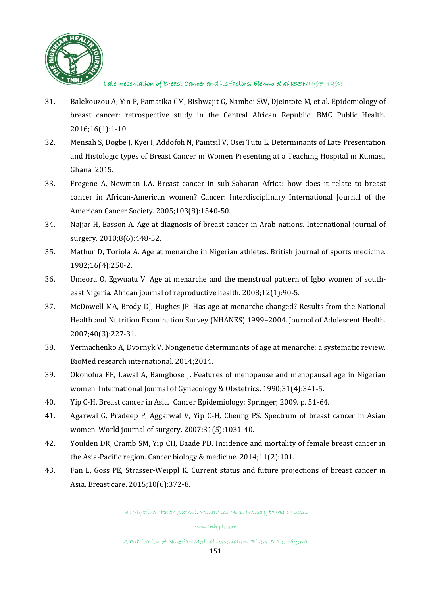

- 31. Balekouzou A, Yin P, Pamatika CM, Bishwajit G, Nambei SW, Djeintote M, et al. Epidemiology of breast cancer: retrospective study in the Central African Republic. BMC Public Health. 2016;16(1):1-10.
- 32. Mensah S, Dogbe J, Kyei I, Addofoh N, Paintsil V, Osei Tutu L. Determinants of Late Presentation and Histologic types of Breast Cancer in Women Presenting at a Teaching Hospital in Kumasi, Ghana. 2015.
- 33. Fregene A, Newman LA. Breast cancer in sub‐Saharan Africa: how does it relate to breast cancer in African‐American women? Cancer: Interdisciplinary International Journal of the American Cancer Society. 2005;103(8):1540-50.
- 34. Najjar H, Easson A. Age at diagnosis of breast cancer in Arab nations. International journal of surgery. 2010;8(6):448-52.
- 35. Mathur D, Toriola A. Age at menarche in Nigerian athletes. British journal of sports medicine. 1982;16(4):250-2.
- 36. Umeora O, Egwuatu V. Age at menarche and the menstrual pattern of Igbo women of southeast Nigeria. African journal of reproductive health. 2008;12(1):90-5.
- 37. McDowell MA, Brody DJ, Hughes JP. Has age at menarche changed? Results from the National Health and Nutrition Examination Survey (NHANES) 1999–2004. Journal of Adolescent Health. 2007;40(3):227-31.
- 38. Yermachenko A, Dvornyk V. Nongenetic determinants of age at menarche: a systematic review. BioMed research international. 2014;2014.
- 39. Okonofua FE, Lawal A, Bamgbose J. Features of menopause and menopausal age in Nigerian women. International Journal of Gynecology & Obstetrics. 1990;31(4):341-5.
- 40. Yip C-H. Breast cancer in Asia. Cancer Epidemiology: Springer; 2009. p. 51-64.
- 41. Agarwal G, Pradeep P, Aggarwal V, Yip C-H, Cheung PS. Spectrum of breast cancer in Asian women. World journal of surgery. 2007;31(5):1031-40.
- 42. Youlden DR, Cramb SM, Yip CH, Baade PD. Incidence and mortality of female breast cancer in the Asia-Pacific region. Cancer biology & medicine. 2014;11(2):101.
- 43. Fan L, Goss PE, Strasser-Weippl K. Current status and future projections of breast cancer in Asia. Breast care. 2015;10(6):372-8.

The Nigerian Health Journal, Volume 22 No 1, January to March 2022

www.tnhjph.com